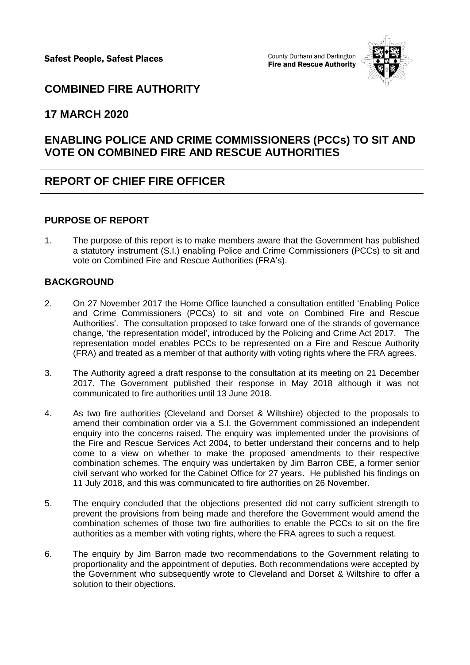Safest People, Safest Places

County Durham and Darlington **Fire and Rescue Authority** 



# **COMBINED FIRE AUTHORITY**

### **17 MARCH 2020**

# **ENABLING POLICE AND CRIME COMMISSIONERS (PCCs) TO SIT AND VOTE ON COMBINED FIRE AND RESCUE AUTHORITIES**

## **REPORT OF CHIEF FIRE OFFICER**

#### **PURPOSE OF REPORT**

1. The purpose of this report is to make members aware that the Government has published a statutory instrument (S.I.) enabling Police and Crime Commissioners (PCCs) to sit and vote on Combined Fire and Rescue Authorities (FRA's).

#### **BACKGROUND**

- 2. On 27 November 2017 the Home Office launched a consultation entitled 'Enabling Police and Crime Commissioners (PCCs) to sit and vote on Combined Fire and Rescue Authorities'. The consultation proposed to take forward one of the strands of governance change, 'the representation model', introduced by the Policing and Crime Act 2017. The representation model enables PCCs to be represented on a Fire and Rescue Authority (FRA) and treated as a member of that authority with voting rights where the FRA agrees.
- 3. The Authority agreed a draft response to the consultation at its meeting on 21 December 2017. The Government published their response in May 2018 although it was not communicated to fire authorities until 13 June 2018.
- 4. As two fire authorities (Cleveland and Dorset & Wiltshire) objected to the proposals to amend their combination order via a S.I. the Government commissioned an independent enquiry into the concerns raised. The enquiry was implemented under the provisions of the Fire and Rescue Services Act 2004, to better understand their concerns and to help come to a view on whether to make the proposed amendments to their respective combination schemes. The enquiry was undertaken by Jim Barron CBE, a former senior civil servant who worked for the Cabinet Office for 27 years. He published his findings on 11 July 2018, and this was communicated to fire authorities on 26 November.
- 5. The enquiry concluded that the objections presented did not carry sufficient strength to prevent the provisions from being made and therefore the Government would amend the combination schemes of those two fire authorities to enable the PCCs to sit on the fire authorities as a member with voting rights, where the FRA agrees to such a request.
- 6. The enquiry by Jim Barron made two recommendations to the Government relating to proportionality and the appointment of deputies. Both recommendations were accepted by the Government who subsequently wrote to Cleveland and Dorset & Wiltshire to offer a solution to their objections.